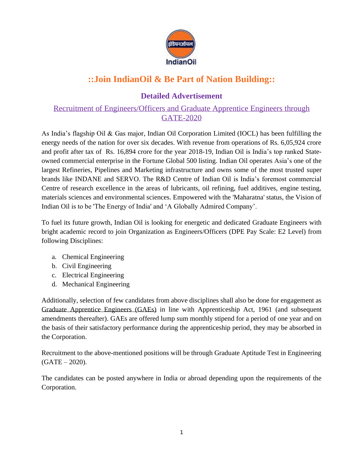

## **::Join IndianOil & Be Part of Nation Building::**

## **Detailed Advertisement**

## Recruitment of Engineers/Officers and Graduate Apprentice Engineers through GATE-2020

As India's flagship Oil & Gas major, Indian Oil Corporation Limited (IOCL) has been fulfilling the energy needs of the nation for over six decades. With revenue from operations of Rs. 6,05,924 crore and profit after tax of Rs. 16,894 crore for the year 2018-19, Indian Oil is India's top ranked Stateowned commercial enterprise in the Fortune Global 500 listing. Indian Oil operates Asia's one of the largest Refineries, Pipelines and Marketing infrastructure and owns some of the most trusted super brands like INDANE and SERVO. The R&D Centre of Indian Oil is India's foremost commercial Centre of research excellence in the areas of lubricants, oil refining, fuel additives, engine testing, materials sciences and environmental sciences. Empowered with the 'Maharatna' status, the Vision of Indian Oil is to be 'The Energy of India' and 'A Globally Admired Company'.

To fuel its future growth, Indian Oil is looking for energetic and dedicated Graduate Engineers with bright academic record to join Organization as Engineers/Officers (DPE Pay Scale: E2 Level) from following Disciplines:

- a. Chemical Engineering
- b. Civil Engineering
- c. Electrical Engineering
- d. Mechanical Engineering

Additionally, selection of few candidates from above disciplines shall also be done for engagement as Graduate Apprentice Engineers (GAEs) in line with Apprenticeship Act, 1961 (and subsequent amendments thereafter). GAEs are offered lump sum monthly stipend for a period of one year and on the basis of their satisfactory performance during the apprenticeship period, they may be absorbed in the Corporation.

Recruitment to the above-mentioned positions will be through Graduate Aptitude Test in Engineering  $(GATE - 2020)$ .

The candidates can be posted anywhere in India or abroad depending upon the requirements of the Corporation.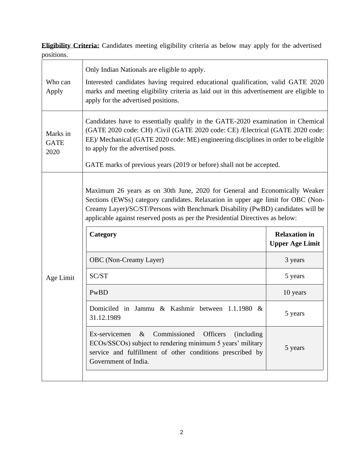**Eligibility Criteria:** Candidates meeting eligibility criteria as below may apply for the advertised positions.

| Who can<br>Apply                | Only Indian Nationals are eligible to apply.<br>Interested candidates having required educational qualification, valid GATE 2020<br>marks and meeting eligibility criteria as laid out in this advertisement are eligible to<br>apply for the advertised positions.                                                                                                     |                        |  |  |
|---------------------------------|-------------------------------------------------------------------------------------------------------------------------------------------------------------------------------------------------------------------------------------------------------------------------------------------------------------------------------------------------------------------------|------------------------|--|--|
| Marks in<br><b>GATE</b><br>2020 | Candidates have to essentially qualify in the GATE-2020 examination in Chemical<br>(GATE 2020 code: CH) /Civil (GATE 2020 code: CE) /Electrical (GATE 2020 code:<br>EE)/ Mechanical (GATE 2020 code: ME) engineering disciplines in order to be eligible<br>to apply for the advertised posts.<br>GATE marks of previous years (2019 or before) shall not be accepted.  |                        |  |  |
|                                 | Maximum 26 years as on 30th June, 2020 for General and Economically Weaker<br>Sections (EWSs) category candidates. Relaxation in upper age limit for OBC (Non-<br>Creamy Layer)/SC/ST/Persons with Benchmark Disability (PwBD) candidates will be<br>applicable against reserved posts as per the Presidential Directives as below:<br><b>Relaxation in</b><br>Category |                        |  |  |
|                                 |                                                                                                                                                                                                                                                                                                                                                                         |                        |  |  |
|                                 |                                                                                                                                                                                                                                                                                                                                                                         | <b>Upper Age Limit</b> |  |  |
| Age Limit                       | OBC (Non-Creamy Layer)<br>SC/ST                                                                                                                                                                                                                                                                                                                                         | 3 years<br>5 years     |  |  |
|                                 | PwBD                                                                                                                                                                                                                                                                                                                                                                    | 10 years               |  |  |
|                                 | Domiciled in Jammu & Kashmir between 1.1.1980 &<br>31.12.1989                                                                                                                                                                                                                                                                                                           | 5 years                |  |  |
|                                 | Commissioned<br><b>Officers</b><br>Ex-servicemen<br>$\&$<br>(including)<br>ECOs/SSCOs) subject to rendering minimum 5 years' military                                                                                                                                                                                                                                   |                        |  |  |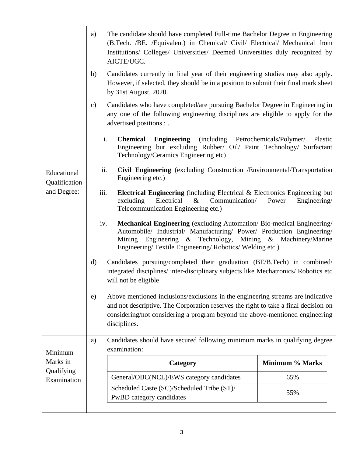|                                             | The candidate should have completed Full-time Bachelor Degree in Engineering<br>a)<br>(B.Tech. /BE. /Equivalent) in Chemical/ Civil/ Electrical/ Mechanical from<br>Institutions/ Colleges/ Universities/ Deemed Universities duly recognized by<br>AICTE/UGC.                    |  |  |  |
|---------------------------------------------|-----------------------------------------------------------------------------------------------------------------------------------------------------------------------------------------------------------------------------------------------------------------------------------|--|--|--|
| Educational<br>Qualification<br>and Degree: | Candidates currently in final year of their engineering studies may also apply.<br>b)<br>However, if selected, they should be in a position to submit their final mark sheet<br>by 31st August, 2020.                                                                             |  |  |  |
|                                             | Candidates who have completed/are pursuing Bachelor Degree in Engineering in<br>$\mathbf{c})$<br>any one of the following engineering disciplines are eligible to apply for the<br>advertised positions : .                                                                       |  |  |  |
|                                             | i.<br>(including Petrochemicals/Polymer/ Plastic<br><b>Chemical</b><br><b>Engineering</b><br>Engineering but excluding Rubber/ Oil/ Paint Technology/ Surfactant<br>Technology/Ceramics Engineering etc)                                                                          |  |  |  |
|                                             | ii.<br>Civil Engineering (excluding Construction /Environmental/Transportation<br>Engineering etc.)                                                                                                                                                                               |  |  |  |
|                                             | iii.<br><b>Electrical Engineering</b> (including Electrical & Electronics Engineering but<br>Electrical<br>excluding<br>$\&$<br>Communication/<br>Power<br>Engineering/<br>Telecommunication Engineering etc.)                                                                    |  |  |  |
|                                             | Mechanical Engineering (excluding Automation/ Bio-medical Engineering/<br>iv.<br>Automobile/ Industrial/ Manufacturing/ Power/ Production Engineering/<br>Engineering & Technology, Mining & Machinery/Marine<br>Mining<br>Engineering/Textile Engineering/Robotics/Welding etc.) |  |  |  |
|                                             | Candidates pursuing/completed their graduation (BE/B.Tech) in combined/<br>$\mathbf{d}$<br>integrated disciplines/ inter-disciplinary subjects like Mechatronics/ Robotics etc<br>will not be eligible                                                                            |  |  |  |
|                                             | Above mentioned inclusions/exclusions in the engineering streams are indicative<br>e)<br>and not descriptive. The Corporation reserves the right to take a final decision on<br>considering/not considering a program beyond the above-mentioned engineering<br>disciplines.      |  |  |  |
| Minimum                                     | Candidates should have secured following minimum marks in qualifying degree<br>a)<br>examination:                                                                                                                                                                                 |  |  |  |
| Marks in                                    | Minimum % Marks<br>Category                                                                                                                                                                                                                                                       |  |  |  |
| Qualifying<br>Examination                   | General/OBC(NCL)/EWS category candidates<br>65%                                                                                                                                                                                                                                   |  |  |  |
|                                             | Scheduled Caste (SC)/Scheduled Tribe (ST)/<br>55%<br>PwBD category candidates                                                                                                                                                                                                     |  |  |  |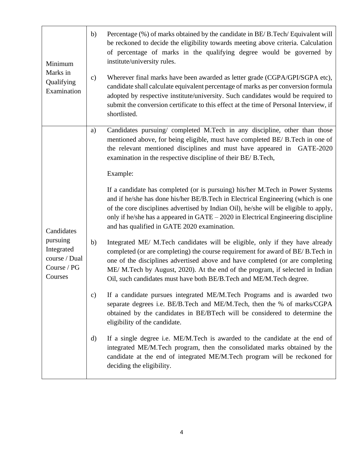| Minimum<br>Marks in<br>Qualifying<br>Examination                                | b) | Percentage (%) of marks obtained by the candidate in BE/B.Tech/Equivalent will<br>be reckoned to decide the eligibility towards meeting above criteria. Calculation<br>of percentage of marks in the qualifying degree would be governed by<br>institute/university rules.                                                                                                                               |
|---------------------------------------------------------------------------------|----|----------------------------------------------------------------------------------------------------------------------------------------------------------------------------------------------------------------------------------------------------------------------------------------------------------------------------------------------------------------------------------------------------------|
|                                                                                 | c) | Wherever final marks have been awarded as letter grade (CGPA/GPI/SGPA etc),<br>candidate shall calculate equivalent percentage of marks as per conversion formula<br>adopted by respective institute/university. Such candidates would be required to<br>submit the conversion certificate to this effect at the time of Personal Interview, if<br>shortlisted.                                          |
|                                                                                 | a) | Candidates pursuing/ completed M.Tech in any discipline, other than those<br>mentioned above, for being eligible, must have completed BE/ B.Tech in one of<br>the relevant mentioned disciplines and must have appeared in GATE-2020<br>examination in the respective discipline of their BE/ B.Tech,                                                                                                    |
|                                                                                 |    | Example:                                                                                                                                                                                                                                                                                                                                                                                                 |
| Candidates<br>pursuing<br>Integrated<br>course / Dual<br>Course / PG<br>Courses |    | If a candidate has completed (or is pursuing) his/her M.Tech in Power Systems<br>and if he/she has done his/her BE/B.Tech in Electrical Engineering (which is one<br>of the core disciplines advertised by Indian Oil), he/she will be eligible to apply,<br>only if he/she has a appeared in GATE - 2020 in Electrical Engineering discipline<br>and has qualified in GATE 2020 examination.            |
|                                                                                 | b) | Integrated ME/ M.Tech candidates will be eligible, only if they have already<br>completed (or are completing) the course requirement for award of BE/B. Tech in<br>one of the disciplines advertised above and have completed (or are completing<br>ME/ M.Tech by August, 2020). At the end of the program, if selected in Indian<br>Oil, such candidates must have both BE/B.Tech and ME/M.Tech degree. |
|                                                                                 | c) | If a candidate pursues integrated ME/M.Tech Programs and is awarded two<br>separate degrees i.e. BE/B.Tech and ME/M.Tech, then the % of marks/CGPA<br>obtained by the candidates in BE/BTech will be considered to determine the<br>eligibility of the candidate.                                                                                                                                        |
|                                                                                 | d) | If a single degree i.e. ME/M.Tech is awarded to the candidate at the end of<br>integrated ME/M.Tech program, then the consolidated marks obtained by the<br>candidate at the end of integrated ME/M.Tech program will be reckoned for<br>deciding the eligibility.                                                                                                                                       |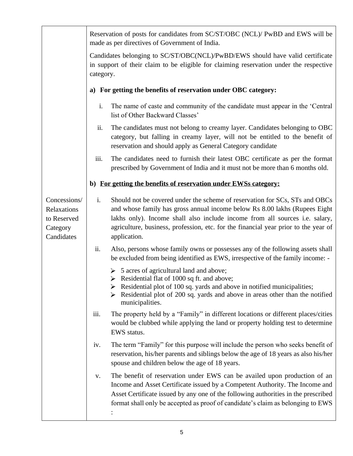|                                                                      | Reservation of posts for candidates from SC/ST/OBC (NCL)/ PwBD and EWS will be<br>made as per directives of Government of India.                                                                                                                                                                                                                      |  |  |
|----------------------------------------------------------------------|-------------------------------------------------------------------------------------------------------------------------------------------------------------------------------------------------------------------------------------------------------------------------------------------------------------------------------------------------------|--|--|
|                                                                      | Candidates belonging to SC/ST/OBC(NCL)/PwBD/EWS should have valid certificate<br>in support of their claim to be eligible for claiming reservation under the respective<br>category.                                                                                                                                                                  |  |  |
|                                                                      | For getting the benefits of reservation under OBC category:<br>a)                                                                                                                                                                                                                                                                                     |  |  |
|                                                                      | i.<br>The name of caste and community of the candidate must appear in the 'Central'<br>list of Other Backward Classes'                                                                                                                                                                                                                                |  |  |
|                                                                      | ii.<br>The candidates must not belong to creamy layer. Candidates belonging to OBC<br>category, but falling in creamy layer, will not be entitled to the benefit of<br>reservation and should apply as General Category candidate                                                                                                                     |  |  |
|                                                                      | The candidates need to furnish their latest OBC certificate as per the format<br>iii.<br>prescribed by Government of India and it must not be more than 6 months old.                                                                                                                                                                                 |  |  |
|                                                                      | b) For getting the benefits of reservation under EWSs category:                                                                                                                                                                                                                                                                                       |  |  |
| Concessions/<br>Relaxations<br>to Reserved<br>Category<br>Candidates | i.<br>Should not be covered under the scheme of reservation for SCs, STs and OBCs<br>and whose family has gross annual income below Rs 8.00 lakhs (Rupees Eight<br>lakhs only). Income shall also include income from all sources i.e. salary,<br>agriculture, business, profession, etc. for the financial year prior to the year of<br>application. |  |  |
|                                                                      | Also, persons whose family owns or possesses any of the following assets shall<br>ii.<br>be excluded from being identified as EWS, irrespective of the family income: -                                                                                                                                                                               |  |  |
|                                                                      | $\geq 5$ acres of agricultural land and above;<br>Example 1000 Sq ft. and above;<br>Residential plot of 100 sq. yards and above in notified municipalities;<br>Residential plot of 200 sq. yards and above in areas other than the notified<br>municipalities.                                                                                        |  |  |
|                                                                      | The property held by a "Family" in different locations or different places/cities<br>iii.<br>would be clubbed while applying the land or property holding test to determine<br>EWS status.                                                                                                                                                            |  |  |
|                                                                      | The term "Family" for this purpose will include the person who seeks benefit of<br>iv.<br>reservation, his/her parents and siblings below the age of 18 years as also his/her<br>spouse and children below the age of 18 years.                                                                                                                       |  |  |
|                                                                      | The benefit of reservation under EWS can be availed upon production of an<br>V.<br>Income and Asset Certificate issued by a Competent Authority. The Income and<br>Asset Certificate issued by any one of the following authorities in the prescribed<br>format shall only be accepted as proof of candidate's claim as belonging to EWS              |  |  |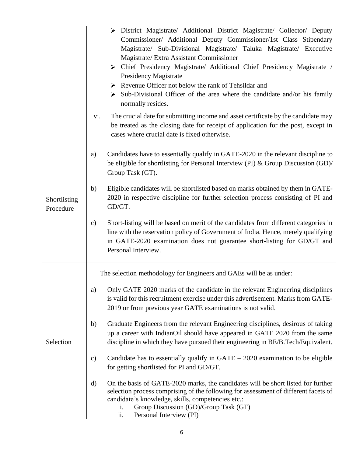|                           | > District Magistrate/ Additional District Magistrate/ Collector/ Deputy<br>Commissioner/ Additional Deputy Commissioner/1st Class Stipendary<br>Magistrate/ Sub-Divisional Magistrate/ Taluka Magistrate/ Executive<br>Magistrate/ Extra Assistant Commissioner<br>> Chief Presidency Magistrate/ Additional Chief Presidency Magistrate /<br>Presidency Magistrate<br>$\triangleright$ Revenue Officer not below the rank of Tehsildar and<br>$\triangleright$ Sub-Divisional Officer of the area where the candidate and/or his family<br>normally resides.<br>The crucial date for submitting income and asset certificate by the candidate may<br>vi.<br>be treated as the closing date for receipt of application for the post, except in<br>cases where crucial date is fixed otherwise. |
|---------------------------|-------------------------------------------------------------------------------------------------------------------------------------------------------------------------------------------------------------------------------------------------------------------------------------------------------------------------------------------------------------------------------------------------------------------------------------------------------------------------------------------------------------------------------------------------------------------------------------------------------------------------------------------------------------------------------------------------------------------------------------------------------------------------------------------------|
|                           | Candidates have to essentially qualify in GATE-2020 in the relevant discipline to<br>a)<br>be eligible for shortlisting for Personal Interview (PI) & Group Discussion (GD)/<br>Group Task (GT).                                                                                                                                                                                                                                                                                                                                                                                                                                                                                                                                                                                                |
| Shortlisting<br>Procedure | Eligible candidates will be shortlisted based on marks obtained by them in GATE-<br>b)<br>2020 in respective discipline for further selection process consisting of PI and<br>GD/GT.                                                                                                                                                                                                                                                                                                                                                                                                                                                                                                                                                                                                            |
|                           | Short-listing will be based on merit of the candidates from different categories in<br>$\mathbf{c})$<br>line with the reservation policy of Government of India. Hence, merely qualifying<br>in GATE-2020 examination does not guarantee short-listing for GD/GT and<br>Personal Interview.                                                                                                                                                                                                                                                                                                                                                                                                                                                                                                     |
|                           | The selection methodology for Engineers and GAEs will be as under:                                                                                                                                                                                                                                                                                                                                                                                                                                                                                                                                                                                                                                                                                                                              |
| Selection                 | Only GATE 2020 marks of the candidate in the relevant Engineering disciplines<br>a)<br>is valid for this recruitment exercise under this advertisement. Marks from GATE-<br>2019 or from previous year GATE examinations is not valid.                                                                                                                                                                                                                                                                                                                                                                                                                                                                                                                                                          |
|                           | Graduate Engineers from the relevant Engineering disciplines, desirous of taking<br>b)<br>up a career with IndianOil should have appeared in GATE 2020 from the same<br>discipline in which they have pursued their engineering in BE/B.Tech/Equivalent.                                                                                                                                                                                                                                                                                                                                                                                                                                                                                                                                        |
|                           | Candidate has to essentially qualify in $GATE - 2020$ examination to be eligible<br>$\mathbf{c})$<br>for getting shortlisted for PI and GD/GT.                                                                                                                                                                                                                                                                                                                                                                                                                                                                                                                                                                                                                                                  |
|                           | On the basis of GATE-2020 marks, the candidates will be short listed for further<br>d)<br>selection process comprising of the following for assessment of different facets of<br>candidate's knowledge, skills, competencies etc.:<br>Group Discussion (GD)/Group Task (GT)<br>i.<br>ii.<br>Personal Interview (PI)                                                                                                                                                                                                                                                                                                                                                                                                                                                                             |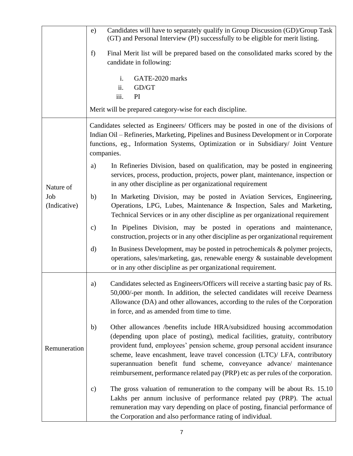|                                  | Candidates will have to separately qualify in Group Discussion (GD)/Group Task<br>e)<br>(GT) and Personal Interview (PI) successfully to be eligible for merit listing.                                                                                                                                                                                                                                                                                                                  |
|----------------------------------|------------------------------------------------------------------------------------------------------------------------------------------------------------------------------------------------------------------------------------------------------------------------------------------------------------------------------------------------------------------------------------------------------------------------------------------------------------------------------------------|
|                                  | Final Merit list will be prepared based on the consolidated marks scored by the<br>f)<br>candidate in following:                                                                                                                                                                                                                                                                                                                                                                         |
|                                  | i.<br>GATE-2020 marks<br>ii.<br>GD/GT<br>iii.<br>PI                                                                                                                                                                                                                                                                                                                                                                                                                                      |
|                                  | Merit will be prepared category-wise for each discipline.                                                                                                                                                                                                                                                                                                                                                                                                                                |
|                                  | Candidates selected as Engineers/ Officers may be posted in one of the divisions of<br>Indian Oil – Refineries, Marketing, Pipelines and Business Development or in Corporate<br>functions, eg., Information Systems, Optimization or in Subsidiary/ Joint Venture<br>companies.                                                                                                                                                                                                         |
| Nature of<br>Job<br>(Indicative) | In Refineries Division, based on qualification, may be posted in engineering<br>a)<br>services, process, production, projects, power plant, maintenance, inspection or<br>in any other discipline as per organizational requirement                                                                                                                                                                                                                                                      |
|                                  | In Marketing Division, may be posted in Aviation Services, Engineering,<br>b)<br>Operations, LPG, Lubes, Maintenance & Inspection, Sales and Marketing,<br>Technical Services or in any other discipline as per organizational requirement                                                                                                                                                                                                                                               |
|                                  | In Pipelines Division, may be posted in operations and maintenance,<br>$\mathbf{c})$<br>construction, projects or in any other discipline as per organizational requirement                                                                                                                                                                                                                                                                                                              |
|                                  | In Business Development, may be posted in petrochemicals & polymer projects,<br>$\mathbf{d}$<br>operations, sales/marketing, gas, renewable energy & sustainable development<br>or in any other discipline as per organizational requirement.                                                                                                                                                                                                                                            |
| Remuneration                     | Candidates selected as Engineers/Officers will receive a starting basic pay of Rs.<br>a)<br>50,000/-per month. In addition, the selected candidates will receive Dearness<br>Allowance (DA) and other allowances, according to the rules of the Corporation<br>in force, and as amended from time to time.                                                                                                                                                                               |
|                                  | Other allowances /benefits include HRA/subsidized housing accommodation<br>b)<br>(depending upon place of posting), medical facilities, gratuity, contributory<br>provident fund, employees' pension scheme, group personal accident insurance<br>scheme, leave encashment, leave travel concession (LTC)/ LFA, contributory<br>superannuation benefit fund scheme, conveyance advance/ maintenance<br>reimbursement, performance related pay (PRP) etc as per rules of the corporation. |
|                                  | The gross valuation of remuneration to the company will be about Rs. 15.10<br>$\mathbf{c})$<br>Lakhs per annum inclusive of performance related pay (PRP). The actual<br>remuneration may vary depending on place of posting, financial performance of<br>the Corporation and also performance rating of individual.                                                                                                                                                                     |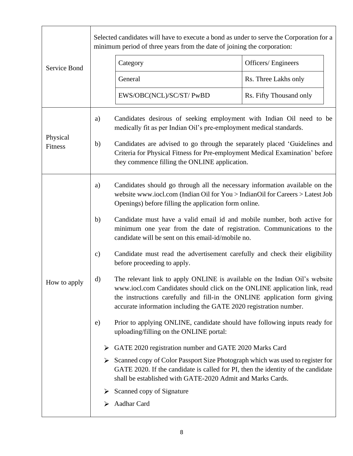|                     |               | Selected candidates will have to execute a bond as under to serve the Corporation for a<br>minimum period of three years from the date of joining the corporation:                                                                                                                                                                                         |                         |
|---------------------|---------------|------------------------------------------------------------------------------------------------------------------------------------------------------------------------------------------------------------------------------------------------------------------------------------------------------------------------------------------------------------|-------------------------|
| Service Bond        |               | Category                                                                                                                                                                                                                                                                                                                                                   | Officers/Engineers      |
|                     |               | General                                                                                                                                                                                                                                                                                                                                                    | Rs. Three Lakhs only    |
|                     |               | EWS/OBC(NCL)/SC/ST/ PwBD                                                                                                                                                                                                                                                                                                                                   | Rs. Fifty Thousand only |
| Physical<br>Fitness | a)<br>b)      | Candidates desirous of seeking employment with Indian Oil need to be<br>medically fit as per Indian Oil's pre-employment medical standards.<br>Candidates are advised to go through the separately placed 'Guidelines and<br>Criteria for Physical Fitness for Pre-employment Medical Examination' before<br>they commence filling the ONLINE application. |                         |
|                     | a)            | Candidates should go through all the necessary information available on the<br>website www.iocl.com (Indian Oil for You > Indian Oil for Careers > Latest Job<br>Openings) before filling the application form online.                                                                                                                                     |                         |
|                     | b)            | Candidate must have a valid email id and mobile number, both active for<br>minimum one year from the date of registration. Communications to the<br>candidate will be sent on this email-id/mobile no.                                                                                                                                                     |                         |
|                     | $\mathbf{c})$ | Candidate must read the advertisement carefully and check their eligibility<br>before proceeding to apply.                                                                                                                                                                                                                                                 |                         |
| How to apply        | d)            | The relevant link to apply ONLINE is available on the Indian Oil's website<br>www.iocl.com Candidates should click on the ONLINE application link, read<br>the instructions carefully and fill-in the ONLINE application form giving<br>accurate information including the GATE 2020 registration number.                                                  |                         |
|                     | e)            | Prior to applying ONLINE, candidate should have following inputs ready for<br>uploading/filling on the ONLINE portal:                                                                                                                                                                                                                                      |                         |
|                     | ➤             | GATE 2020 registration number and GATE 2020 Marks Card                                                                                                                                                                                                                                                                                                     |                         |
|                     | ➤             | Scanned copy of Color Passport Size Photograph which was used to register for<br>GATE 2020. If the candidate is called for PI, then the identity of the candidate<br>shall be established with GATE-2020 Admit and Marks Cards.                                                                                                                            |                         |
|                     |               | Scanned copy of Signature                                                                                                                                                                                                                                                                                                                                  |                         |
|                     |               | Aadhar Card                                                                                                                                                                                                                                                                                                                                                |                         |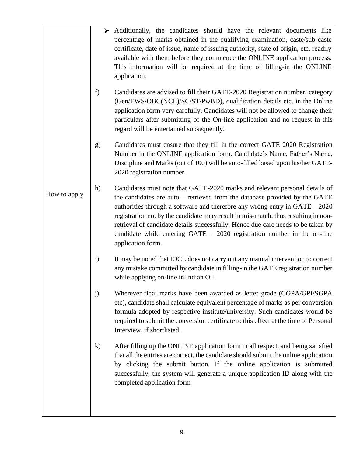|              | ➤                   | Additionally, the candidates should have the relevant documents like<br>percentage of marks obtained in the qualifying examination, caste/sub-caste<br>certificate, date of issue, name of issuing authority, state of origin, etc. readily<br>available with them before they commence the ONLINE application process.<br>This information will be required at the time of filling-in the ONLINE<br>application.                                                                                                    |
|--------------|---------------------|----------------------------------------------------------------------------------------------------------------------------------------------------------------------------------------------------------------------------------------------------------------------------------------------------------------------------------------------------------------------------------------------------------------------------------------------------------------------------------------------------------------------|
|              | f)                  | Candidates are advised to fill their GATE-2020 Registration number, category<br>(Gen/EWS/OBC(NCL)/SC/ST/PwBD), qualification details etc. in the Online<br>application form very carefully. Candidates will not be allowed to change their<br>particulars after submitting of the On-line application and no request in this<br>regard will be entertained subsequently.                                                                                                                                             |
|              | g)                  | Candidates must ensure that they fill in the correct GATE 2020 Registration<br>Number in the ONLINE application form. Candidate's Name, Father's Name,<br>Discipline and Marks (out of 100) will be auto-filled based upon his/her GATE-<br>2020 registration number.                                                                                                                                                                                                                                                |
| How to apply | h)                  | Candidates must note that GATE-2020 marks and relevant personal details of<br>the candidates are auto – retrieved from the database provided by the GATE<br>authorities through a software and therefore any wrong entry in $GATE - 2020$<br>registration no. by the candidate may result in mis-match, thus resulting in non-<br>retrieval of candidate details successfully. Hence due care needs to be taken by<br>candidate while entering $GATE - 2020$ registration number in the on-line<br>application form. |
|              | $\ddot{\mathbf{i}}$ | It may be noted that IOCL does not carry out any manual intervention to correct<br>any mistake committed by candidate in filling-in the GATE registration number<br>while applying on-line in Indian Oil.                                                                                                                                                                                                                                                                                                            |
|              | j)                  | Wherever final marks have been awarded as letter grade (CGPA/GPI/SGPA<br>etc), candidate shall calculate equivalent percentage of marks as per conversion<br>formula adopted by respective institute/university. Such candidates would be<br>required to submit the conversion certificate to this effect at the time of Personal<br>Interview, if shortlisted.                                                                                                                                                      |
|              | $\bf k)$            | After filling up the ONLINE application form in all respect, and being satisfied<br>that all the entries are correct, the candidate should submit the online application<br>by clicking the submit button. If the online application is submitted<br>successfully, the system will generate a unique application ID along with the<br>completed application form                                                                                                                                                     |
|              |                     |                                                                                                                                                                                                                                                                                                                                                                                                                                                                                                                      |